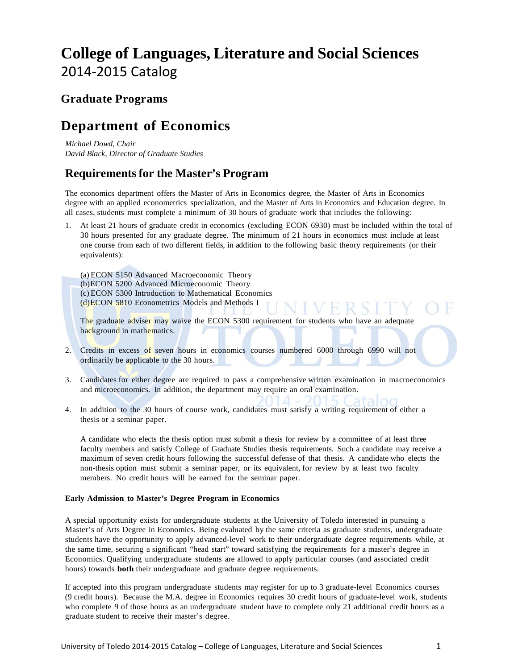# **College of Languages, Literature and Social Sciences** 2014-2015 Catalog

### **Graduate Programs**

## **Department of Economics**

*Michael Dowd, Chair David Black, Director of Graduate Studies*

### **Requirements for the Master's Program**

The economics department offers the Master of Arts in Economics degree, the Master of Arts in Economics degree with an applied econometrics specialization, and the Master of Arts in Economics and Education degree. In all cases, students must complete a minimum of 30 hours of graduate work that includes the following:

1. At least 21 hours of graduate credit in economics (excluding ECON 6930) must be included within the total of 30 hours presented for any graduate degree. The minimum of 21 hours in economics must include at least one course from each of two different fields, in addition to the following basic theory requirements (or their equivalents):

(a) ECON 5150 Advanced Macroeconomic Theory (b)ECON 5200 Advanced Microeconomic Theory (c) ECON 5300 Introduction to Mathematical Economics (d)ECON 5810 Econometrics Models and Methods I

The graduate adviser may waive the ECON 5300 requirement for students who have an adequate background in mathematics.

- 2. Credits in excess of seven hours in economics courses numbered 6000 through 6990 will not ordinarily be applicable to the 30 hours.
- 3. Candidates for either degree are required to pass a comprehensive written examination in macroeconomics and microeconomics. In addition, the department may require an oral examination.
- 4. In addition to the 30 hours of course work, candidates must satisfy a writing requirement of either a thesis or a seminar paper.

A candidate who elects the thesis option must submit a thesis for review by a committee of at least three faculty members and satisfy College of Graduate Studies thesis requirements. Such a candidate may receive a maximum of seven credit hours following the successful defense of that thesis. A candidate who elects the non-thesis option must submit a seminar paper, or its equivalent, for review by at least two faculty members. No credit hours will be earned for the seminar paper.

### **Early Admission to Master's Degree Program in Economics**

A special opportunity exists for undergraduate students at the University of Toledo interested in pursuing a Master's of Arts Degree in Economics. Being evaluated by the same criteria as graduate students, undergraduate students have the opportunity to apply advanced-level work to their undergraduate degree requirements while, at the same time, securing a significant "head start" toward satisfying the requirements for a master's degree in Economics. Qualifying undergraduate students are allowed to apply particular courses (and associated credit hours) towards **both** their undergraduate and graduate degree requirements.

If accepted into this program undergraduate students may register for up to 3 graduate-level Economics courses (9 credit hours). Because the M.A. degree in Economics requires 30 credit hours of graduate-level work, students who complete 9 of those hours as an undergraduate student have to complete only 21 additional credit hours as a graduate student to receive their master's degree.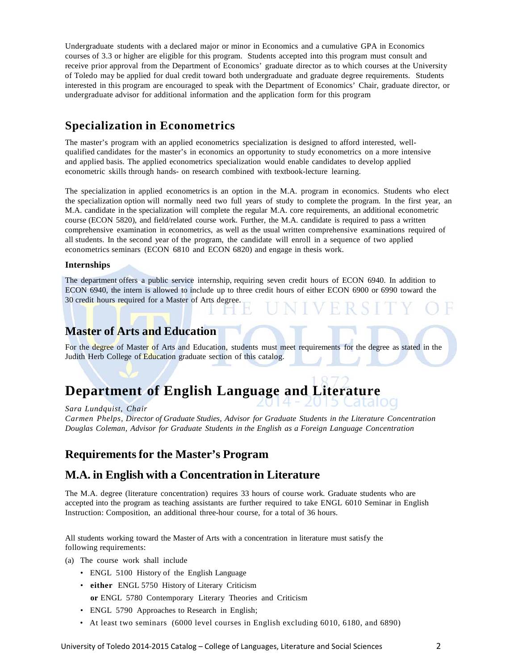Undergraduate students with a declared major or minor in Economics and a cumulative GPA in Economics courses of 3.3 or higher are eligible for this program. Students accepted into this program must consult and receive prior approval from the Department of Economics' graduate director as to which courses at the University of Toledo may be applied for dual credit toward both undergraduate and graduate degree requirements. Students interested in this program are encouraged to speak with the Department of Economics' Chair, graduate director, or undergraduate advisor for additional information and the application form for this program

### **Specialization in Econometrics**

The master's program with an applied econometrics specialization is designed to afford interested, wellqualified candidates for the master's in economics an opportunity to study econometrics on a more intensive and applied basis. The applied econometrics specialization would enable candidates to develop applied econometric skills through hands- on research combined with textbook-lecture learning.

The specialization in applied econometrics is an option in the M.A. program in economics. Students who elect the specialization option will normally need two full years of study to complete the program. In the first year, an M.A. candidate in the specialization will complete the regular M.A. core requirements, an additional econometric course (ECON 5820), and field/related course work. Further, the M.A. candidate is required to pass a written comprehensive examination in econometrics, as well as the usual written comprehensive examinations required of all students. In the second year of the program, the candidate will enroll in a sequence of two applied econometrics seminars (ECON 6810 and ECON 6820) and engage in thesis work.

### **Internships**

The department offers a public service internship, requiring seven credit hours of ECON 6940. In addition to ECON 6940, the intern is allowed to include up to three credit hours of either ECON 6900 or 6990 toward the 30 credit hours required for a Master of Arts degree.

### **Master of Arts and Education**

For the degree of Master of Arts and Education, students must meet requirements for the degree as stated in the Judith Herb College of Education graduate section of this catalog.

# **Department of English Language and Literature**

*Sara Lundquist, Chair*

*Carmen Phelps, Director of Graduate Studies, Advisor for Graduate Students in the Literature Concentration Douglas Coleman, Advisor for Graduate Students in the English as a Foreign Language Concentration*

### **Requirements for the Master's Program**

### **M.A. in English with a Concentration in Literature**

The M.A. degree (literature concentration) requires 33 hours of course work. Graduate students who are accepted into the program as teaching assistants are further required to take ENGL 6010 Seminar in English Instruction: Composition, an additional three-hour course, for a total of 36 hours.

All students working toward the Master of Arts with a concentration in literature must satisfy the following requirements:

(a) The course work shall include

- ENGL 5100 History of the English Language
- **either** ENGL 5750 History of Literary Criticism
- **or** ENGL 5780 Contemporary Literary Theories and Criticism
- ENGL 5790 Approaches to Research in English;
- At least two seminars (6000 level courses in English excluding 6010, 6180, and 6890)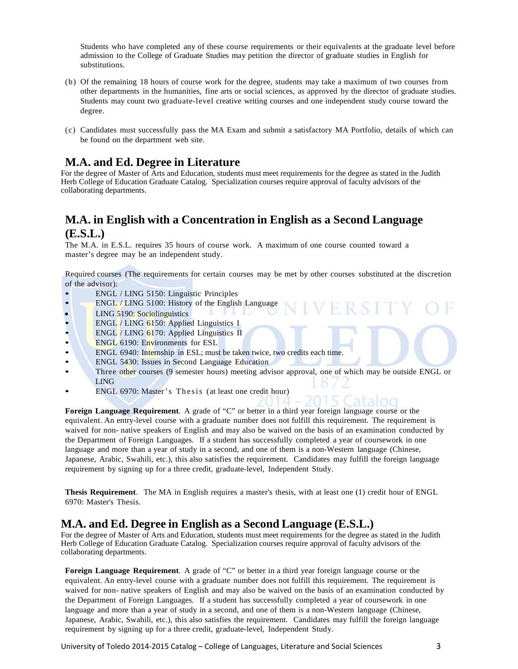Students who have completed any of these course requirements or their equivalents at the graduate level before admission to the College of Graduate Studies may petition the director of graduate studies in English for substitutions.

- (b) Of the remaining 18 hours of course work for the degree, students may take a maximum of two courses from other departments in the humanities, fine arts or social sciences, as approved by the director of graduate studies. Students may count two graduate-level creative writing courses and one independent study course toward the degree.
- (c) Candidates must successfully pass the MA Exam and submit a satisfactory MA Portfolio, details of which can be found on the department web site.

### **M.A. and Ed. Degree in Literature**

For the degree of Master of Arts and Education, students must meet requirements for the degree as stated in the Judith Herb College of Education Graduate Catalog. Specialization courses require approval of faculty advisors of the collaborating departments.

### **M.A. in English with a Concentration in English as a Second Language (E.S.L.)**

The M.A. in E.S.L. requires 35 hours of course work. A maximum of one course counted toward a master's degree may be an independent study.

Required courses (The requirements for certain courses may be met by other courses substituted at the discretion of the advisor):

- ENGL / LING 5150: Linguistic Principles
- ENGL / LING 5100: History of the English Language<br>• LING 5190: Sociolinguistics FRSI
- LING 5190: Sociolinguistics
- ENGL / LING 6150: Applied Linguistics I
- ENGL / LING 6170: Applied Linguistics II
- ENGL 6190: Environments for ESL<br>ENGL 6940: Internship in ESI: must
- ENGL 6940: Internship in ESL; must be taken twice, two credits each time.
- ENGL 5430: Issues in Second Language Education
- Three other courses (9 semester hours) meeting advisor approval, one of which may be outside ENGL or LING
- ENGL 6970: Master's Thesis (at least one credit hour)

**Foreign Language Requirement**. A grade of "C" or better in a third year foreign language course or the equivalent. An entry-level course with a graduate number does not fulfill this requirement. The requirement is waived for non- native speakers of English and may also be waived on the basis of an examination conducted by the Department of Foreign Languages. If a student has successfully completed a year of coursework in one language and more than a year of study in a second, and one of them is a non-Western language (Chinese, Japanese, Arabic, Swahili, etc.), this also satisfies the requirement. Candidates may fulfill the foreign language requirement by signing up for a three credit, graduate-level, Independent Study.

**Thesis Requirement**. The MA in English requires a master's thesis, with at least one (1) credit hour of ENGL 6970: Master's Thesis.

### **M.A. and Ed. Degree in English as a Second Language (E.S.L.)**

For the degree of Master of Arts and Education, students must meet requirements for the degree as stated in the Judith Herb College of Education Graduate Catalog. Specialization courses require approval of faculty advisors of the collaborating departments.

**Foreign Language Requirement**. A grade of "C" or better in a third year foreign language course or the equivalent. An entry-level course with a graduate number does not fulfill this requirement. The requirement is waived for non- native speakers of English and may also be waived on the basis of an examination conducted by the Department of Foreign Languages. If a student has successfully completed a year of coursework in one language and more than a year of study in a second, and one of them is a non-Western language (Chinese, Japanese, Arabic, Swahili, etc.), this also satisfies the requirement. Candidates may fulfill the foreign language requirement by signing up for a three credit, graduate-level, Independent Study.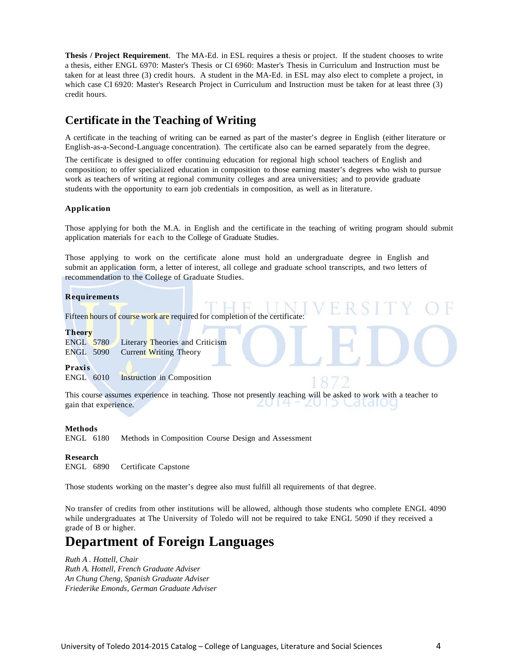**Thesis / Project Requirement**. The MA-Ed. in ESL requires a thesis or project. If the student chooses to write a thesis, either ENGL 6970: Master's Thesis or CI 6960: Master's Thesis in Curriculum and Instruction must be taken for at least three (3) credit hours. A student in the MA-Ed. in ESL may also elect to complete a project, in which case CI 6920: Master's Research Project in Curriculum and Instruction must be taken for at least three (3) credit hours.

### **Certificate in the Teaching of Writing**

A certificate in the teaching of writing can be earned as part of the master's degree in English (either literature or English-as-a-Second-Language concentration). The certificate also can be earned separately from the degree.

The certificate is designed to offer continuing education for regional high school teachers of English and composition; to offer specialized education in composition to those earning master's degrees who wish to pursue work as teachers of writing at regional community colleges and area universities; and to provide graduate students with the opportunity to earn job credentials in composition, as well as in literature.

### **Application**

Those applying for both the M.A. in English and the certificate in the teaching of writing program should submit application materials for each to the College of Graduate Studies.

Those applying to work on the certificate alone must hold an undergraduate degree in English and submit an application form, a letter of interest, all college and graduate school transcripts, and two letters of recommendation to the College of Graduate Studies.

### **Requirements**

Fifteen hours of course work are required for completion of the certificate.

**Theory**

ENGL 5780 Literary Theories and Criticism ENGL 5090 Current Writing Theory

**Praxis**

ENGL 6010 Instruction in Composition

This course assumes experience in teaching. Those not presently teaching will be asked to work with a teacher to gain that experience. ZU.  $\overline{14}$ ZUTO Catalog

### **Methods**

ENGL 6180 Methods in Composition Course Design and Assessment

### **Research**

ENGL 6890 Certificate Capstone

Those students working on the master's degree also must fulfill all requirements of that degree.

No transfer of credits from other institutions will be allowed, although those students who complete ENGL 4090 while undergraduates at The University of Toledo will not be required to take ENGL 5090 if they received a grade of B or higher.

## **Department of Foreign Languages**

*Ruth A . Hottell, Chair Ruth A. Hottell, French Graduate Adviser An Chung Cheng, Spanish Graduate Adviser Friederike Emonds, German Graduate Adviser*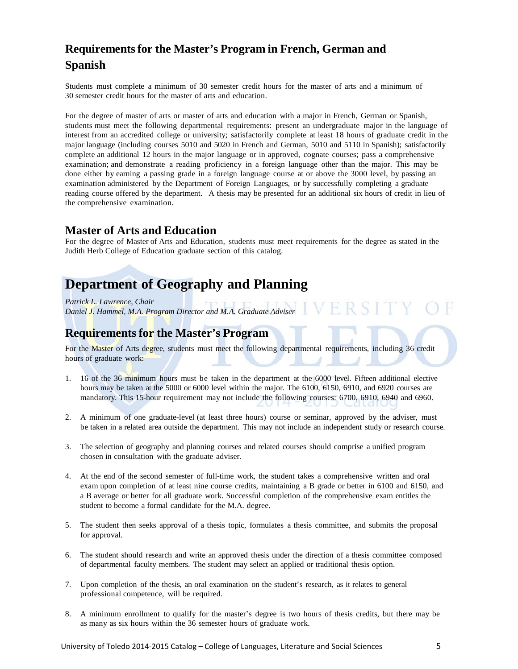## **Requirementsfor the Master's Program in French, German and Spanish**

Students must complete a minimum of 30 semester credit hours for the master of arts and a minimum of 30 semester credit hours for the master of arts and education.

For the degree of master of arts or master of arts and education with a major in French, German or Spanish, students must meet the following departmental requirements: present an undergraduate major in the language of interest from an accredited college or university; satisfactorily complete at least 18 hours of graduate credit in the major language (including courses 5010 and 5020 in French and German, 5010 and 5110 in Spanish); satisfactorily complete an additional 12 hours in the major language or in approved, cognate courses; pass a comprehensive examination; and demonstrate a reading proficiency in a foreign language other than the major. This may be done either by earning a passing grade in a foreign language course at or above the 3000 level, by passing an examination administered by the Department of Foreign Languages, or by successfully completing a graduate reading course offered by the department. A thesis may be presented for an additional six hours of credit in lieu of the comprehensive examination.

### **Master of Arts and Education**

For the degree of Master of Arts and Education, students must meet requirements for the degree as stated in the Judith Herb College of Education graduate section of this catalog.

## **Department of Geography and Planning**

*Patrick L. Lawrence, Chair* VERSITY *Daniel J. Hammel, M.A. Program Director and M.A. Graduate Adviser*

### **Requirements for the Master's Program**

For the Master of Arts degree, students must meet the following departmental requirements, including 36 credit hours of graduate work:

- 1. 16 of the 36 minimum hours must be taken in the department at the 6000 level. Fifteen additional elective hours may be taken at the 5000 or 6000 level within the major. The 6100, 6150, 6910, and 6920 courses are mandatory. This 15-hour requirement may not include the following courses: 6700, 6910, 6940 and 6960.
- 2. A minimum of one graduate-level (at least three hours) course or seminar, approved by the adviser, must be taken in a related area outside the department. This may not include an independent study or research course.
- 3. The selection of geography and planning courses and related courses should comprise a unified program chosen in consultation with the graduate adviser.
- 4. At the end of the second semester of full-time work, the student takes a comprehensive written and oral exam upon completion of at least nine course credits, maintaining a B grade or better in 6100 and 6150, and a B average or better for all graduate work. Successful completion of the comprehensive exam entitles the student to become a formal candidate for the M.A. degree.
- 5. The student then seeks approval of a thesis topic, formulates a thesis committee, and submits the proposal for approval.
- 6. The student should research and write an approved thesis under the direction of a thesis committee composed of departmental faculty members. The student may select an applied or traditional thesis option.
- 7. Upon completion of the thesis, an oral examination on the student's research, as it relates to general professional competence, will be required.
- 8. A minimum enrollment to qualify for the master's degree is two hours of thesis credits, but there may be as many as six hours within the 36 semester hours of graduate work.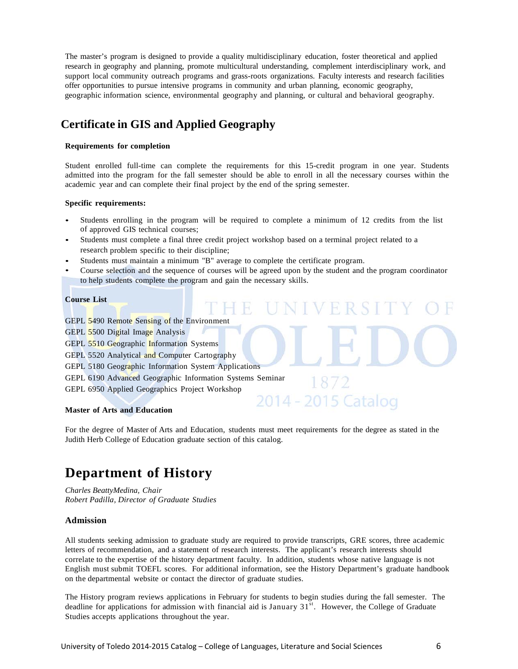The master's program is designed to provide a quality multidisciplinary education, foster theoretical and applied research in geography and planning, promote multicultural understanding, complement interdisciplinary work, and support local community outreach programs and grass-roots organizations. Faculty interests and research facilities offer opportunities to pursue intensive programs in community and urban planning, economic geography, geographic information science, environmental geography and planning, or cultural and behavioral geography.

### **Certificate in GIS and Applied Geography**

### **Requirements for completion**

Student enrolled full-time can complete the requirements for this 15-credit program in one year. Students admitted into the program for the fall semester should be able to enroll in all the necessary courses within the academic year and can complete their final project by the end of the spring semester.

#### **Specific requirements:**

- Students enrolling in the program will be required to complete a minimum of 12 credits from the list of approved GIS technical courses;
- Students must complete a final three credit project workshop based on a terminal project related to a research problem specific to their discipline;
- Students must maintain a minimum "B" average to complete the certificate program.
- Course selection and the sequence of courses will be agreed upon by the student and the program coordinator to help students complete the program and gain the necessary skills.

**F UNIVERSI** 

#### **Course List**

GEPL 5490 Remote Sensing of the Environment GEPL 5500 Digital Image Analysis GEPL 5510 Geographic Information Systems GEPL 5520 Analytical and Computer Cartography GEPL 5180 Geographic Information System Applications GEPL 6190 Advanced Geographic Information Systems Seminar 18 GEPL 6950 Applied Geographics Project Workshop 2014 - 2015 Catalog

### **Master of Arts and Education**

For the degree of Master of Arts and Education, students must meet requirements for the degree as stated in the Judith Herb College of Education graduate section of this catalog.

## **Department of History**

*Charles BeattyMedina, Chair Robert Padilla, Director of Graduate Studies*

### **Admission**

All students seeking admission to graduate study are required to provide transcripts, GRE scores, three academic letters of recommendation, and a statement of research interests. The applicant's research interests should correlate to the expertise of the history department faculty. In addition, students whose native language is not English must submit TOEFL scores. For additional information, see the History Department's graduate handbook on the departmental website or contact the director of graduate studies.

The History program reviews applications in February for students to begin studies during the fall semester. The deadline for applications for admission with financial aid is January  $31<sup>st</sup>$ . However, the College of Graduate Studies accepts applications throughout the year.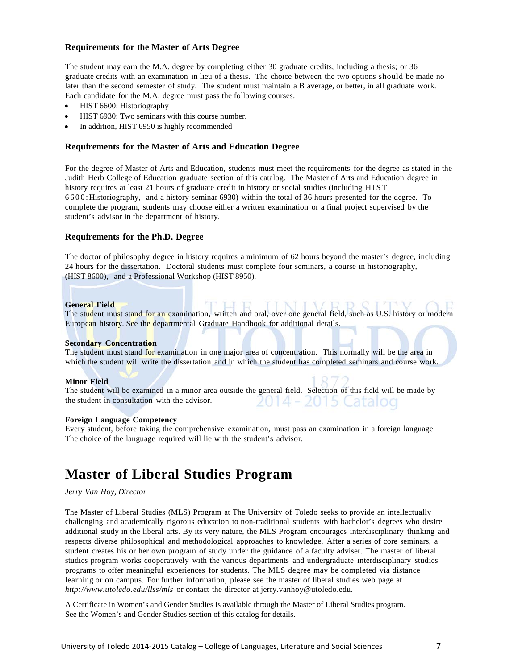### **Requirements for the Master of Arts Degree**

The student may earn the M.A. degree by completing either 30 graduate credits, including a thesis; or 36 graduate credits with an examination in lieu of a thesis. The choice between the two options should be made no later than the second semester of study. The student must maintain a B average, or better, in all graduate work. Each candidate for the M.A. degree must pass the following courses.

- HIST 6600: Historiography
- HIST 6930: Two seminars with this course number.
- In addition, HIST 6950 is highly recommended

### **Requirements for the Master of Arts and Education Degree**

For the degree of Master of Arts and Education, students must meet the requirements for the degree as stated in the Judith Herb College of Education graduate section of this catalog. The Master of Arts and Education degree in history requires at least 21 hours of graduate credit in history or social studies (including HIST 6600:Historiography, and a history seminar 6930) within the total of 36 hours presented for the degree. To complete the program, students may choose either a written examination or a final project supervised by the student's advisor in the department of history.

### **Requirements for the Ph.D. Degree**

The doctor of philosophy degree in history requires a minimum of 62 hours beyond the master's degree, including 24 hours for the dissertation. Doctoral students must complete four seminars, a course in historiography, (HIST 8600), and a Professional Workshop (HIST 8950).

#### **General Field**

The student must stand for an examination, written and oral, over one general field, such as U.S. history or modern European history. See the departmental Graduate Handbook for additional details.

#### **Secondary Concentration**

The student must stand for examination in one major area of concentration. This normally will be the area in which the student will write the dissertation and in which the student has completed seminars and course work.

#### **Minor Field**

The student will be examined in a minor area outside the general field. Selection of this field will be made by the student in consultation with the advisor. 2014 - 2015 Catalog

#### **Foreign Language Competency**

Every student, before taking the comprehensive examination, must pass an examination in a foreign language. The choice of the language required will lie with the student's advisor.

## **Master of Liberal Studies Program**

#### *Jerry Van Hoy, Director*

The Master of Liberal Studies (MLS) Program at The University of Toledo seeks to provide an intellectually challenging and academically rigorous education to non-traditional students with bachelor's degrees who desire additional study in the liberal arts. By its very nature, the MLS Program encourages interdisciplinary thinking and respects diverse philosophical and methodological approaches to knowledge. After a series of core seminars, a student creates his or her own program of study under the guidance of a faculty adviser. The master of liberal studies program works cooperatively with the various departments and undergraduate interdisciplinary studies programs to offer meaningful experiences for students. The MLS degree may be completed via distance learning or on campus. For further information, please see the master of liberal studies web page at *<http://www.utoledo.edu/llss/mls>* or contact the director at [jerry.vanhoy@utoledo.edu.](mailto:jerry.vanhoy@utoledo.edu)

A Certificate in Women's and Gender Studies is available through the Master of Liberal Studies program. See the Women's and Gender Studies section of this catalog for details.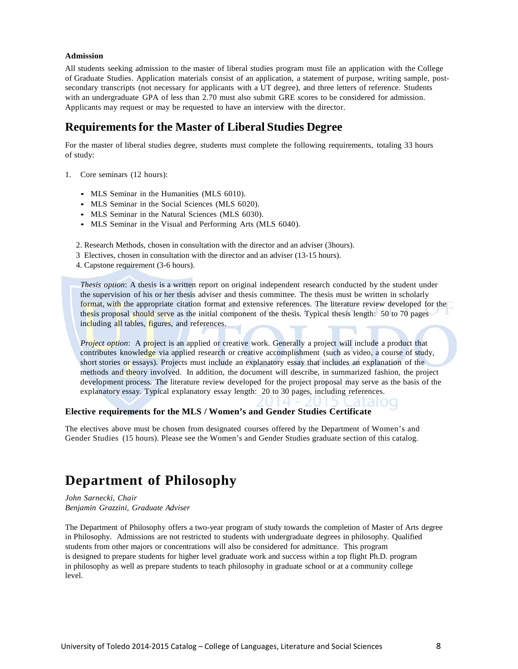#### **Admission**

All students seeking admission to the master of liberal studies program must file an application with the College of Graduate Studies. Application materials consist of an application, a statement of purpose, writing sample, postsecondary transcripts (not necessary for applicants with a UT degree), and three letters of reference. Students with an undergraduate GPA of less than 2.70 must also submit GRE scores to be considered for admission. Applicants may request or may be requested to have an interview with the director.

### **Requirements for the Master of Liberal Studies Degree**

For the master of liberal studies degree, students must complete the following requirements, totaling 33 hours of study:

1. Core seminars (12 hours):

- MLS Seminar in the Humanities (MLS 6010).
- MLS Seminar in the Social Sciences (MLS 6020).
- MLS Seminar in the Natural Sciences (MLS 6030).
- MLS Seminar in the Visual and Performing Arts (MLS 6040).

2. Research Methods, chosen in consultation with the director and an adviser (3hours).

- 3 Electives, chosen in consultation with the director and an adviser (13-15 hours).
- 4. Capstone requirement (3-6 hours).

*Thesis option*: A thesis is a written report on original independent research conducted by the student under the supervision of his or her thesis adviser and thesis committee. The thesis must be written in scholarly format, with the appropriate citation format and extensive references. The literature review developed for the thesis proposal should serve as the initial component of the thesis. Typical thesis length: 50 to 70 pages including all tables, figures, and references.

*Project option*: A project is an applied or creative work. Generally a project will include a product that contributes knowledge via applied research or creative accomplishment (such as video, a course of study, short stories or essays). Projects must include an explanatory essay that includes an explanation of the methods and theory involved. In addition, the document will describe, in summarized fashion, the project development process. The literature review developed for the project proposal may serve as the basis of the explanatory essay. Typical explanatory essay length: 20 to 30 pages, including references.

### **Elective requirements for the MLS / Women's and Gender Studies Certificate**

The electives above must be chosen from designated courses offered by the Department of Women's and Gender Studies (15 hours). Please see the Women's and Gender Studies graduate section of this catalog.

## **Department of Philosophy**

*John Sarnecki, Chair Benjamin Grazzini, Graduate Adviser*

The Department of Philosophy offers a two-year program of study towards the completion of Master of Arts degree in Philosophy. Admissions are not restricted to students with undergraduate degrees in philosophy. Qualified students from other majors or concentrations will also be considered for admittance. This program is designed to prepare students for higher level graduate work and success within a top flight Ph.D. program in philosophy as well as prepare students to teach philosophy in graduate school or at a community college level.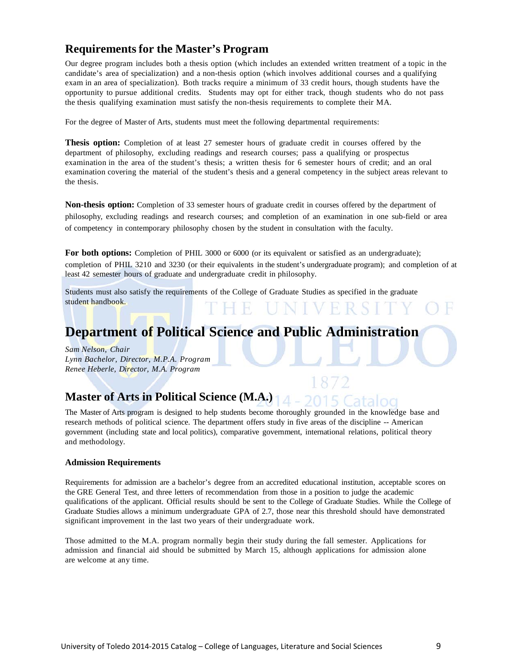### **Requirements for the Master's Program**

Our degree program includes both a thesis option (which includes an extended written treatment of a topic in the candidate's area of specialization) and a non-thesis option (which involves additional courses and a qualifying exam in an area of specialization). Both tracks require a minimum of 33 credit hours, though students have the opportunity to pursue additional credits. Students may opt for either track, though students who do not pass the thesis qualifying examination must satisfy the non-thesis requirements to complete their MA.

For the degree of Master of Arts, students must meet the following departmental requirements:

**Thesis option:** Completion of at least 27 semester hours of graduate credit in courses offered by the department of philosophy, excluding readings and research courses; pass a qualifying or prospectus examination in the area of the student's thesis; a written thesis for 6 semester hours of credit; and an oral examination covering the material of the student's thesis and a general competency in the subject areas relevant to the thesis.

**Non-thesis option:** Completion of 33 semester hours of graduate credit in courses offered by the department of philosophy, excluding readings and research courses; and completion of an examination in one sub-field or area of competency in contemporary philosophy chosen by the student in consultation with the faculty.

**For both options:** Completion of PHIL 3000 or 6000 (or its equivalent or satisfied as an undergraduate); completion of PHIL 3210 and 3230 (or their equivalents in the student's undergraduate program); and completion of at least 42 semester hours of graduate and undergraduate credit in philosophy.

Students must also satisfy the requirements of the College of Graduate Studies as specified in the graduate student handbook.

## **Department of Political Science and Public Administration**

*Sam Nelson, Chair Lynn Bachelor, Director, M.P.A. Program Renee Heberle, Director, M.A. Program*

## **Master of Arts in Political Science (M.A.)**

The Master of Arts program is designed to help students become thoroughly grounded in the knowledge base and research methods of political science. The department offers study in five areas of the discipline -- American government (including state and local politics), comparative government, international relations, political theory and methodology.

### **Admission Requirements**

Requirements for admission are a bachelor's degree from an accredited educational institution, acceptable scores on the GRE General Test, and three letters of recommendation from those in a position to judge the academic qualifications of the applicant. Official results should be sent to the College of Graduate Studies. While the College of Graduate Studies allows a minimum undergraduate GPA of 2.7, those near this threshold should have demonstrated significant improvement in the last two years of their undergraduate work.

Those admitted to the M.A. program normally begin their study during the fall semester. Applications for admission and financial aid should be submitted by March 15, although applications for admission alone are welcome at any time.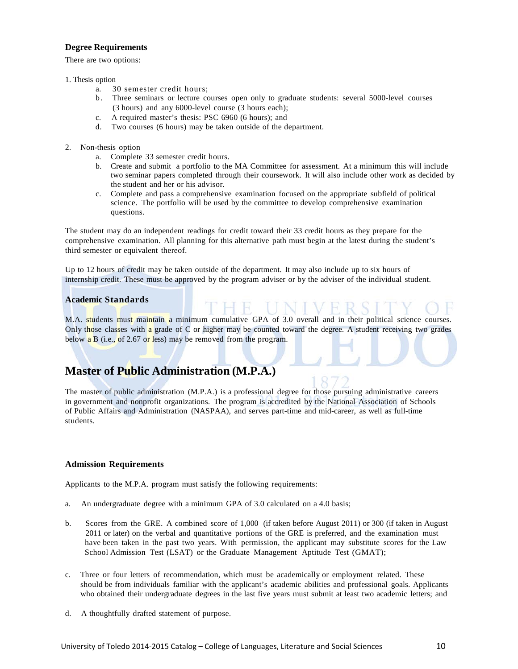### **Degree Requirements**

There are two options:

#### 1. Thesis option

- a. 30 semester credit hours;
- b. Three seminars or lecture courses open only to graduate students: several 5000-level courses (3 hours) and any 6000-level course (3 hours each);
- c. A required master's thesis: PSC 6960 (6 hours); and
- d. Two courses (6 hours) may be taken outside of the department.
- 2. Non-thesis option
	- a. Complete 33 semester credit hours.
	- b. Create and submit a portfolio to the MA Committee for assessment. At a minimum this will include two seminar papers completed through their coursework. It will also include other work as decided by the student and her or his advisor.
	- c. Complete and pass a comprehensive examination focused on the appropriate subfield of political science. The portfolio will be used by the committee to develop comprehensive examination questions.

The student may do an independent readings for credit toward their 33 credit hours as they prepare for the comprehensive examination. All planning for this alternative path must begin at the latest during the student's third semester or equivalent thereof.

Up to 12 hours of credit may be taken outside of the department. It may also include up to six hours of internship credit. These must be approved by the program adviser or by the adviser of the individual student.

### **Academic Standards**

M.A. students must maintain a minimum cumulative GPA of 3.0 overall and in their political science courses. Only those classes with a grade of C or higher may be counted toward the degree. A student receiving two grades below  $\overline{a}$  B (i.e., of 2.67 or less) may be removed from the program.

### **Master of Public Administration (M.P.A.)**

The master of public administration (M.P.A.) is a professional degree for those pursuing administrative careers in government and nonprofit organizations. The program is accredited by the National Association of Schools of Public Affairs and Administration (NASPAA), and serves part-time and mid-career, as well as full-time students.

### **Admission Requirements**

Applicants to the M.P.A. program must satisfy the following requirements:

- a. An undergraduate degree with a minimum GPA of 3.0 calculated on a 4.0 basis;
- b. Scores from the GRE. A combined score of 1,000 (if taken before August 2011) or 300 (if taken in August 2011 or later) on the verbal and quantitative portions of the GRE is preferred, and the examination must have been taken in the past two years. With permission, the applicant may substitute scores for the Law School Admission Test (LSAT) or the Graduate Management Aptitude Test (GMAT);
- c. Three or four letters of recommendation, which must be academically or employment related. These should be from individuals familiar with the applicant's academic abilities and professional goals. Applicants who obtained their undergraduate degrees in the last five years must submit at least two academic letters; and
- d. A thoughtfully drafted statement of purpose.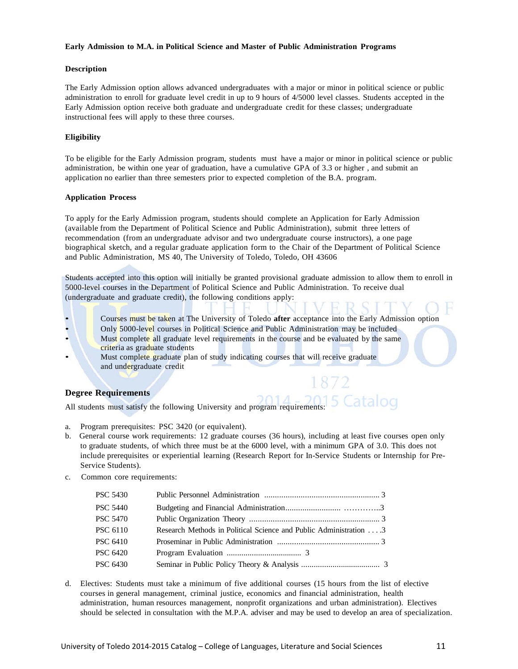### **Early Admission to M.A. in Political Science and Master of Public Administration Programs**

### **Description**

The Early Admission option allows advanced undergraduates with a major or minor in political science or public administration to enroll for graduate level credit in up to 9 hours of 4/5000 level classes. Students accepted in the Early Admission option receive both graduate and undergraduate credit for these classes; undergraduate instructional fees will apply to these three courses.

### **Eligibility**

To be eligible for the Early Admission program, students must have a major or minor in political science or public administration, be within one year of graduation, have a cumulative GPA of 3.3 or higher , and submit an application no earlier than three semesters prior to expected completion of the B.A. program.

### **Application Process**

To apply for the Early Admission program, students should complete an Application for Early Admission (available from the Department of Political Science and Public Administration), submit three letters of recommendation (from an undergraduate advisor and two undergraduate course instructors), a one page biographical sketch, and a regular graduate application form to the Chair of the Department of Political Science and Public Administration, MS 40, The University of Toledo, Toledo, OH 43606

Students accepted into this option will initially be granted provisional graduate admission to allow them to enroll in 5000-level courses in the Department of Political Science and Public Administration. To receive dual (undergraduate and graduate credit), the following conditions apply:

- Courses must be taken at The University of Toledo **after** acceptance into the Early Admission option
- Only 5000-level courses in Political Science and Public Administration may be included
- Must complete all graduate level requirements in the course and be evaluated by the same criteria as graduate students
- Must complete graduate plan of study indicating courses that will receive graduate and undergraduate credit

### **Degree Requirements**

All students must satisfy the following University and program requirements: 5 Catalog

- a. Program prerequisites: PSC 3420 (or equivalent).
- b. General course work requirements: 12 graduate courses (36 hours), including at least five courses open only to graduate students, of which three must be at the 6000 level, with a minimum GPA of 3.0. This does not include prerequisites or experiential learning (Research Report for In-Service Students or Internship for Pre-Service Students).
- c. Common core requirements:

| Research Methods in Political Science and Public Administration3 |  |
|------------------------------------------------------------------|--|
|                                                                  |  |
|                                                                  |  |
|                                                                  |  |
|                                                                  |  |

d. Electives: Students must take a minimum of five additional courses (15 hours from the list of elective courses in general management, criminal justice, economics and financial administration, health administration, human resources management, nonprofit organizations and urban administration). Electives should be selected in consultation with the M.P.A. adviser and may be used to develop an area of specialization.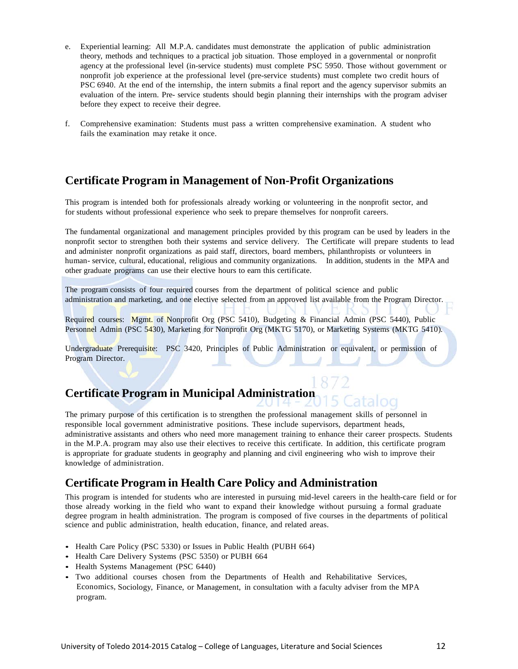- e. Experiential learning: All M.P.A. candidates must demonstrate the application of public administration theory, methods and techniques to a practical job situation. Those employed in a governmental or nonprofit agency at the professional level (in-service students) must complete PSC 5950. Those without government or nonprofit job experience at the professional level (pre-service students) must complete two credit hours of PSC 6940. At the end of the internship, the intern submits a final report and the agency supervisor submits an evaluation of the intern. Pre- service students should begin planning their internships with the program adviser before they expect to receive their degree.
- f. Comprehensive examination: Students must pass a written comprehensive examination. A student who fails the examination may retake it once.

### **Certificate Program in Management of Non-Profit Organizations**

This program is intended both for professionals already working or volunteering in the nonprofit sector, and for students without professional experience who seek to prepare themselves for nonprofit careers.

The fundamental organizational and management principles provided by this program can be used by leaders in the nonprofit sector to strengthen both their systems and service delivery. The Certificate will prepare students to lead and administer nonprofit organizations as paid staff, directors, board members, philanthropists or volunteers in human- service, cultural, educational, religious and community organizations. In addition, students in the MPA and other graduate programs can use their elective hours to earn this certificate.

The program consists of four required courses from the department of political science and public administration and marketing, and one elective selected from an approved list available from the Program Director.

Required courses: Mgmt. of Nonprofit Org (PSC 5410), Budgeting & Financial Admin (PSC 5440), Public Personnel Admin (PSC 5430), Marketing for Nonprofit Org (MKTG 5170), or Marketing Systems (MKTG 5410).

Undergraduate Prerequisite: PSC 3420, Principles of Public Administration or equivalent, or permission of Program Director.

# **Certificate Program in Municipal Administration**

The primary purpose of this certification is to strengthen the professional management skills of personnel in responsible local government administrative positions. These include supervisors, department heads, administrative assistants and others who need more management training to enhance their career prospects. Students in the M.P.A. program may also use their electives to receive this certificate. In addition, this certificate program is appropriate for graduate students in geography and planning and civil engineering who wish to improve their knowledge of administration.

### **Certificate Program in Health Care Policy and Administration**

This program is intended for students who are interested in pursuing mid-level careers in the health-care field or for those already working in the field who want to expand their knowledge without pursuing a formal graduate degree program in health administration. The program is composed of five courses in the departments of political science and public administration, health education, finance, and related areas.

- Health Care Policy (PSC 5330) or Issues in Public Health (PUBH 664)
- Health Care Delivery Systems (PSC 5350) or PUBH 664
- Health Systems Management (PSC 6440)
- Two additional courses chosen from the Departments of Health and Rehabilitative Services, Economics, Sociology, Finance, or Management, in consultation with a faculty adviser from the MPA program.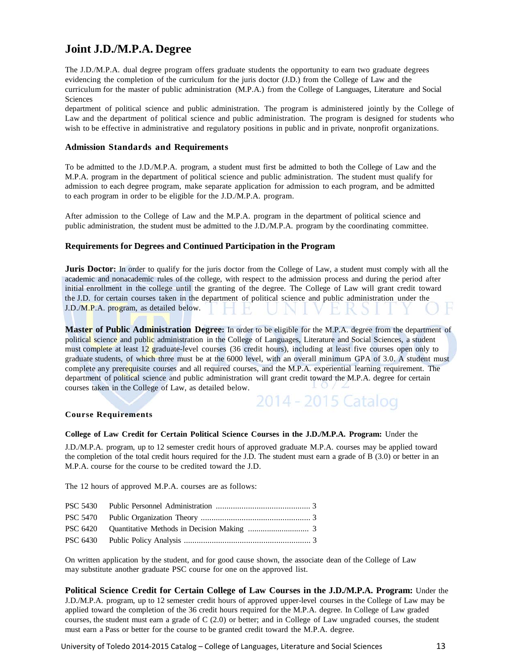### **Joint J.D./M.P.A. Degree**

The J.D./M.P.A. dual degree program offers graduate students the opportunity to earn two graduate degrees evidencing the completion of the curriculum for the juris doctor (J.D.) from the College of Law and the curriculum for the master of public administration (M.P.A.) from the College of Languages, Literature and Social Sciences

department of political science and public administration. The program is administered jointly by the College of Law and the department of political science and public administration. The program is designed for students who wish to be effective in administrative and regulatory positions in public and in private, nonprofit organizations.

### **Admission Standards and Requirements**

To be admitted to the J.D./M.P.A. program, a student must first be admitted to both the College of Law and the M.P.A. program in the department of political science and public administration. The student must qualify for admission to each degree program, make separate application for admission to each program, and be admitted to each program in order to be eligible for the J.D./M.P.A. program.

After admission to the College of Law and the M.P.A. program in the department of political science and public administration, the student must be admitted to the J.D./M.P.A. program by the coordinating committee.

### **Requirements for Degrees and Continued Participation in the Program**

**Juris Doctor:** In order to qualify for the juris doctor from the College of Law, a student must comply with all the academic and nonacademic rules of the college, with respect to the admission process and during the period after initial enrollment in the college until the granting of the degree. The College of Law will grant credit toward the J.D. for certain courses taken in the department of political science and public administration under the J.D./M.P.A. program, as detailed below.

**Master of Public Administration Degree:** In order to be eligible for the M.P.A. degree from the department of political science and public administration in the College of Languages, Literature and Social Sciences, a student must complete at least 12 graduate-level courses (36 credit hours), including at least five courses open only to graduate students, of which three must be at the 6000 level, with an overall minimum GPA of 3.0. A student must complete any prerequisite courses and all required courses, and the M.P.A. experiential learning requirement. The department of political science and public administration will grant credit toward the M.P.A. degree for certain courses taken in the College of Law, as detailed below.

2014 - 2015 Catalog

### **Course Requirements**

#### **College of Law Credit for Certain Political Science Courses in the J.D./M.P.A. Program:** Under the

J.D./M.P.A. program, up to 12 semester credit hours of approved graduate M.P.A. courses may be applied toward the completion of the total credit hours required for the J.D. The student must earn a grade of B (3.0) or better in an M.P.A. course for the course to be credited toward the J.D.

The 12 hours of approved M.P.A. courses are as follows:

On written application by the student, and for good cause shown, the associate dean of the College of Law may substitute another graduate PSC course for one on the approved list.

**Political Science Credit for Certain College of Law Courses in the J.D./M.P.A. Program:** Under the J.D./M.P.A. program, up to 12 semester credit hours of approved upper-level courses in the College of Law may be applied toward the completion of the 36 credit hours required for the M.P.A. degree. In College of Law graded courses, the student must earn a grade of  $C(2,0)$  or better; and in College of Law ungraded courses, the student must earn a Pass or better for the course to be granted credit toward the M.P.A. degree.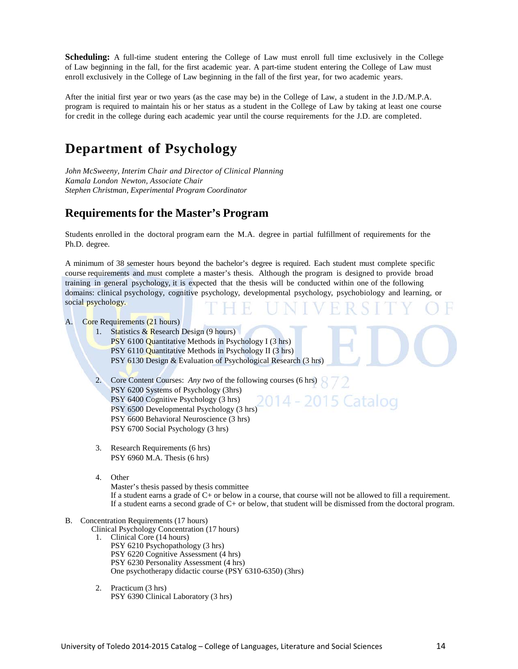**Scheduling:** A full-time student entering the College of Law must enroll full time exclusively in the College of Law beginning in the fall, for the first academic year. A part-time student entering the College of Law must enroll exclusively in the College of Law beginning in the fall of the first year, for two academic years.

After the initial first year or two years (as the case may be) in the College of Law, a student in the J.D./M.P.A. program is required to maintain his or her status as a student in the College of Law by taking at least one course for credit in the college during each academic year until the course requirements for the J.D. are completed.

## **Department of Psychology**

*John McSweeny, Interim Chair and Director of Clinical Planning Kamala London Newton, Associate Chair Stephen Christman, Experimental Program Coordinator*

### **Requirements for the Master's Program**

Students enrolled in the doctoral program earn the M.A. degree in partial fulfillment of requirements for the Ph.D. degree.

A minimum of 38 semester hours beyond the bachelor's degree is required. Each student must complete specific course requirements and must complete a master's thesis. Although the program is designed to provide broad training in general psychology, it is expected that the thesis will be conducted within one of the following domains: clinical psychology, cognitive psychology, developmental psychology, psychobiology and learning, or social psychology.

| A. |    | Core Requirements (21 hours)<br>Statistics & Research Design $(9 \text{ hours})$<br><b>PSY</b> 6100 Quantitative Methods in Psychology I (3 hrs)<br>PSY 6110 Quantitative Methods in Psychology II (3 hrs)<br>PSY 6130 Design & Evaluation of Psychological Research (3 hrs)                             |
|----|----|----------------------------------------------------------------------------------------------------------------------------------------------------------------------------------------------------------------------------------------------------------------------------------------------------------|
|    | 2. | Core Content Courses: Any two of the following courses (6 hrs)<br>PSY 6200 Systems of Psychology (3hrs)<br>2014 - 2015 Catalog<br>PSY 6400 Cognitive Psychology (3 hrs)<br>PSY 6500 Developmental Psychology (3 hrs)<br>PSY 6600 Behavioral Neuroscience (3 hrs)<br>PSY 6700 Social Psychology (3 hrs)   |
|    | 3. | Research Requirements (6 hrs)<br>PSY 6960 M.A. Thesis (6 hrs)                                                                                                                                                                                                                                            |
|    | 4. | Other<br>Master's thesis passed by thesis committee<br>If a student earns a grade of $C+$ or below in a course, that course will not be allowed to fill a requirement.<br>If a student earns a second grade of $C$ + or below, that student will be dismissed from the doctoral program.                 |
| B. |    | Concentration Requirements (17 hours)<br>Clinical Psychology Concentration (17 hours)<br>1. Clinical Core (14 hours)<br>PSY 6210 Psychopathology (3 hrs)<br>PSY 6220 Cognitive Assessment (4 hrs)<br>PSY 6230 Personality Assessment (4 hrs)<br>One psychotherapy didactic course (PSY 6310-6350) (3hrs) |
|    | 2. | Practicum (3 hrs)<br>PSY 6390 Clinical Laboratory (3 hrs)                                                                                                                                                                                                                                                |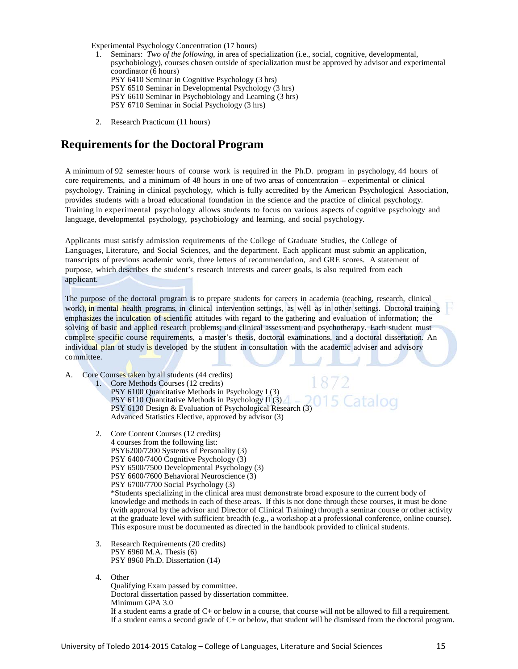Experimental Psychology Concentration (17 hours)

- 1. Seminars: *Two of the following*, in area of specialization (i.e., social, cognitive, developmental, psychobiology), courses chosen outside of specialization must be approved by advisor and experimental coordinator (6 hours) PSY 6410 Seminar in Cognitive Psychology (3 hrs) PSY 6510 Seminar in Developmental Psychology (3 hrs) PSY 6610 Seminar in Psychobiology and Learning (3 hrs) PSY 6710 Seminar in Social Psychology (3 hrs)
- 2. Research Practicum (11 hours)

### **Requirements for the Doctoral Program**

A minimum of 92 semester hours of course work is required in the Ph.D. program in psychology, 44 hours of core requirements, and a minimum of 48 hours in one of two areas of concentration – experimental or clinical psychology. Training in clinical psychology, which is fully accredited by the American Psychological Association, provides students with a broad educational foundation in the science and the practice of clinical psychology. Training in experimental psychology allows students to focus on various aspects of cognitive psychology and language, developmental psychology, psychobiology and learning, and social psychology.

Applicants must satisfy admission requirements of the College of Graduate Studies, the College of Languages, Literature, and Social Sciences, and the department. Each applicant must submit an application, transcripts of previous academic work, three letters of recommendation, and GRE scores. A statement of purpose, which describes the student's research interests and career goals, is also required from each applicant.

The purpose of the doctoral program is to prepare students for careers in academia (teaching, research, clinical work), in mental health programs, in clinical intervention settings, as well as in other settings. Doctoral training emphasizes the inculcation of scientific attitudes with regard to the gathering and evaluation of information; the solving of basic and applied research problems; and clinical assessment and psychotherapy. Each student must complete specific course requirements, a master's thesis, doctoral examinations, and a doctoral dissertation. An individual plan of study is developed by the student in consultation with the academic adviser and advisory committee.

A. Core Courses taken by all students (44 credits)

1. Core Methods Courses (12 credits) PSY 6100 Quantitative Methods in Psychology I (3) 015 Catalog PSY 6110 Quantitative Methods in Psychology II (3) PSY 6130 Design & Evaluation of Psychological Research (3) Advanced Statistics Elective, approved by advisor (3)

- 2. Core Content Courses (12 credits) 4 courses from the following list: PSY6200/7200 Systems of Personality (3) PSY 6400/7400 Cognitive Psychology (3) PSY 6500/7500 Developmental Psychology (3) PSY 6600/7600 Behavioral Neuroscience (3) PSY 6700/7700 Social Psychology (3) \*Students specializing in the clinical area must demonstrate broad exposure to the current body of knowledge and methods in each of these areas. If this is not done through these courses, it must be done (with approval by the advisor and Director of Clinical Training) through a seminar course or other activity at the graduate level with sufficient breadth (e.g., a workshop at a professional conference, online course). This exposure must be documented as directed in the handbook provided to clinical students.
- 3. Research Requirements (20 credits) PSY 6960 M.A. Thesis (6) PSY 8960 Ph.D. Dissertation (14)

4. Other Qualifying Exam passed by committee. Doctoral dissertation passed by dissertation committee. Minimum GPA 3.0 If a student earns a grade of C+ or below in a course, that course will not be allowed to fill a requirement. If a student earns a second grade of C+ or below, that student will be dismissed from the doctoral program.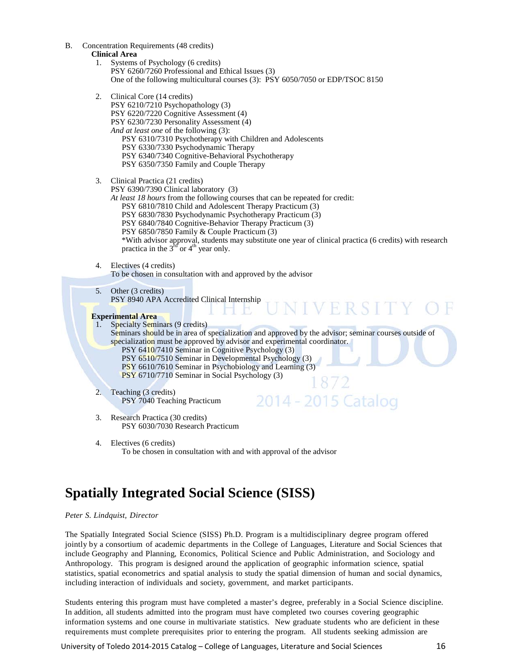- B. Concentration Requirements (48 credits)
	- **Clinical Area**
		- 1. Systems of Psychology (6 credits) PSY 6260/7260 Professional and Ethical Issues (3) One of the following multicultural courses (3): PSY 6050/7050 or EDP/TSOC 8150
	- 2. Clinical Core (14 credits) PSY 6210/7210 Psychopathology (3) PSY 6220/7220 Cognitive Assessment (4) PSY 6230/7230 Personality Assessment (4) *And at least one* of the following (3): PSY 6310/7310 Psychotherapy with Children and Adolescents PSY 6330/7330 Psychodynamic Therapy PSY 6340/7340 Cognitive-Behavioral Psychotherapy PSY 6350/7350 Family and Couple Therapy
	- 3. Clinical Practica (21 credits)

PSY 6390/7390 Clinical laboratory (3)

*At least 18 hours* from the following courses that can be repeated for credit:

- PSY 6810/7810 Child and Adolescent Therapy Practicum (3)
- PSY 6830/7830 Psychodynamic Psychotherapy Practicum (3)
- PSY 6840/7840 Cognitive-Behavior Therapy Practicum (3)
- PSY 6850/7850 Family & Couple Practicum (3)

\*With advisor approval, students may substitute one year of clinical practica (6 credits) with research practica in the  $3<sup>td</sup>$  or  $4<sup>th</sup>$  year only.

INIVERSITY

2014 - 2015 Catalog

4. Electives (4 credits)

To be chosen in consultation with and approved by the advisor

5. Other (3 credits) PSY 8940 APA Accredited Clinical Internship

#### **Experimental Area**

1. Specialty Seminars (9 credits) Seminars should be in area of specialization and approved by the advisor; seminar courses outside of specialization must be approved by advisor and experimental coordinator. PSY 6410/7410 Seminar in Cognitive Psychology (3) PSY 6510/7510 Seminar in Developmental Psychology (3) PSY 6610/7610 Seminar in Psychobiology and Learning (3) PSY 6710/7710 Seminar in Social Psychology (3)

- 2. Teaching (3 credits) PSY 7040 Teaching Practicum
- 3. Research Practica (30 credits) PSY 6030/7030 Research Practicum
- 4. Electives (6 credits) To be chosen in consultation with and with approval of the advisor

## **Spatially Integrated Social Science (SISS)**

#### *Peter S. Lindquist, Director*

The Spatially Integrated Social Science (SISS) Ph.D. Program is a multidisciplinary degree program offered jointly by a consortium of academic departments in the College of Languages, Literature and Social Sciences that include Geography and Planning, Economics, Political Science and Public Administration, and Sociology and Anthropology. This program is designed around the application of geographic information science, spatial statistics, spatial econometrics and spatial analysis to study the spatial dimension of human and social dynamics, including interaction of individuals and society, government, and market participants.

Students entering this program must have completed a master's degree, preferably in a Social Science discipline. In addition, all students admitted into the program must have completed two courses covering geographic information systems and one course in multivariate statistics. New graduate students who are deficient in these requirements must complete prerequisites prior to entering the program. All students seeking admission are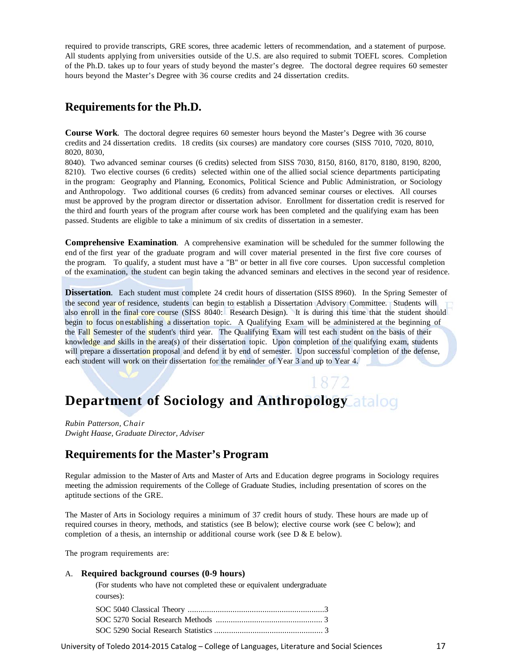required to provide transcripts, GRE scores, three academic letters of recommendation, and a statement of purpose. All students applying from universities outside of the U.S. are also required to submit TOEFL scores. Completion of the Ph.D. takes up to four years of study beyond the master's degree. The doctoral degree requires 60 semester hours beyond the Master's Degree with 36 course credits and 24 dissertation credits.

### **Requirementsfor the Ph.D.**

**Course Work**. The doctoral degree requires 60 semester hours beyond the Master's Degree with 36 course credits and 24 dissertation credits. 18 credits (six courses) are mandatory core courses (SISS 7010, 7020, 8010, 8020, 8030,

8040). Two advanced seminar courses (6 credits) selected from SISS 7030, 8150, 8160, 8170, 8180, 8190, 8200, 8210). Two elective courses (6 credits) selected within one of the allied social science departments participating in the program: Geography and Planning, Economics, Political Science and Public Administration, or Sociology and Anthropology. Two additional courses (6 credits) from advanced seminar courses or electives. All courses must be approved by the program director or dissertation advisor. Enrollment for dissertation credit is reserved for the third and fourth years of the program after course work has been completed and the qualifying exam has been passed. Students are eligible to take a minimum of six credits of dissertation in a semester.

**Comprehensive Examination**. A comprehensive examination will be scheduled for the summer following the end of the first year of the graduate program and will cover material presented in the first five core courses of the program. To qualify, a student must have a "B" or better in all five core courses. Upon successful completion of the examination, the student can begin taking the advanced seminars and electives in the second year of residence.

**Dissertation**. Each student must complete 24 credit hours of dissertation (SISS 8960). In the Spring Semester of the second year of residence, students can begin to establish a Dissertation Advisory Committee. Students will also enroll in the final core course (SISS 8040: Research Design). It is during this time that the student should begin to focus on establishing a dissertation topic. A Qualifying Exam will be administered at the beginning of the Fall Semester of the student's third year. The Qualifying Exam will test each student on the basis of their knowledge and skills in the area(s) of their dissertation topic. Upon completion of the qualifying exam, students will prepare a dissertation proposal and defend it by end of semester. Upon successful completion of the defense, each student will work on their dissertation for the remainder of Year 3 and up to Year 4.

# **Department of Sociology and Anthropology**

*Rubin Patterson, Chair Dwight Haase, Graduate Director, Adviser*

### **Requirements for the Master's Program**

Regular admission to the Master of Arts and Master of Arts and Education degree programs in Sociology requires meeting the admission requirements of the College of Graduate Studies, including presentation of scores on the aptitude sections of the GRE.

The Master of Arts in Sociology requires a minimum of 37 credit hours of study. These hours are made up of required courses in theory, methods, and statistics (see B below); elective course work (see C below); and completion of a thesis, an internship or additional course work (see D & E below).

The program requirements are:

### A. **Required background courses (0-9 hours)**

(For students who have not completed these or equivalent undergraduate courses):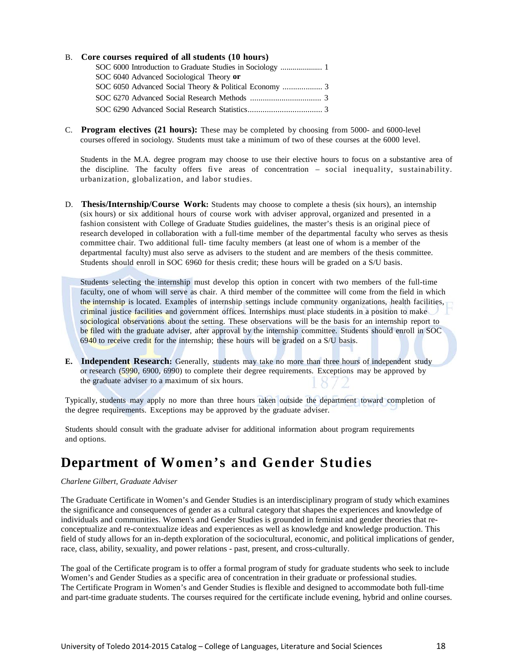### B. **Core courses required of all students (10 hours)**

| SOC 6040 Advanced Sociological Theory or |  |  |
|------------------------------------------|--|--|
|                                          |  |  |
|                                          |  |  |
|                                          |  |  |

C. **Program electives (21 hours):** These may be completed by choosing from 5000- and 6000-level courses offered in sociology. Students must take a minimum of two of these courses at the 6000 level.

Students in the M.A. degree program may choose to use their elective hours to focus on a substantive area of the discipline. The faculty offers five areas of concentration – social inequality, sustainability. urbanization, globalization, and labor studies.

D. **Thesis/Internship/Course Work:** Students may choose to complete a thesis (six hours), an internship (six hours) or six additional hours of course work with adviser approval, organized and presented in a fashion consistent with College of Graduate Studies guidelines, the master's thesis is an original piece of research developed in collaboration with a full-time member of the departmental faculty who serves as thesis committee chair. Two additional full- time faculty members (at least one of whom is a member of the departmental faculty) must also serve as advisers to the student and are members of the thesis committee. Students should enroll in SOC 6960 for thesis credit; these hours will be graded on a S/U basis.

Students selecting the internship must develop this option in concert with two members of the full-time faculty, one of whom will serve as chair. A third member of the committee will come from the field in which the internship is located. Examples of internship settings include community organizations, health facilities, criminal justice facilities and government offices. Internships must place students in a position to make sociological observations about the setting. These observations will be the basis for an internship report to be filed with the graduate adviser, after approval by the internship committee. Students should enroll in SOC  $6940$  to receive credit for the internship; these hours will be graded on a S/U basis.

**E. Independent Research:** Generally, students may take no more than three hours of independent study or research (5990, 6900, 6990) to complete their degree requirements. Exceptions may be approved by the graduate adviser to a maximum of six hours.

Typically, students may apply no more than three hours taken outside the department toward completion of the degree requirements. Exceptions may be approved by the graduate adviser.

Students should consult with the graduate adviser for additional information about program requirements and options.

## **Department of Women's and Gender Studies**

### *Charlene Gilbert, Graduate Adviser*

The Graduate Certificate in Women's and Gender Studies is an interdisciplinary program of study which examines the significance and consequences of gender as a cultural category that shapes the experiences and knowledge of individuals and communities. Women's and Gender Studies is grounded in feminist and gender theories that reconceptualize and re-contextualize ideas and experiences as well as knowledge and knowledge production. This field of study allows for an in-depth exploration of the sociocultural, economic, and political implications of gender, race, class, ability, sexuality, and power relations - past, present, and cross-culturally.

The goal of the Certificate program is to offer a formal program of study for graduate students who seek to include Women's and Gender Studies as a specific area of concentration in their graduate or professional studies. The Certificate Program in Women's and Gender Studies is flexible and designed to accommodate both full-time and part-time graduate students. The courses required for the certificate include evening, hybrid and online courses.